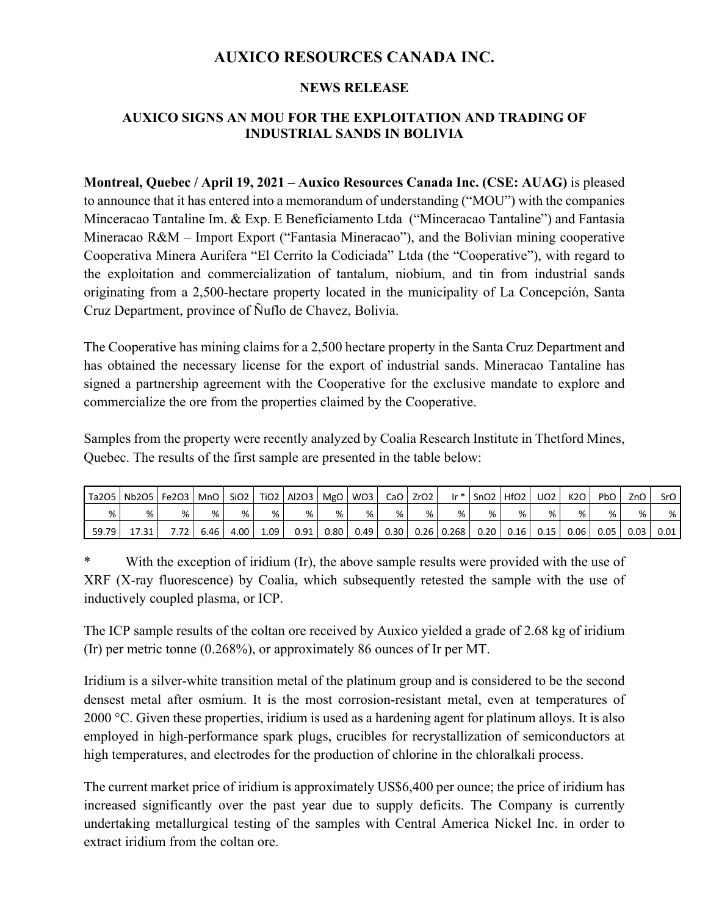# **AUXICO RESOURCES CANADA INC.**

### **NEWS RELEASE**

## **AUXICO SIGNS AN MOU FOR THE EXPLOITATION AND TRADING OF INDUSTRIAL SANDS IN BOLIVIA**

**Montreal, Quebec / April 19, 2021 – Auxico Resources Canada Inc. (CSE: AUAG)** is pleased to announce that it has entered into a memorandum of understanding ("MOU") with the companies Minceracao Tantaline Im. & Exp. E Beneficiamento Ltda ("Minceracao Tantaline") and Fantasia Mineracao R&M – Import Export ("Fantasia Mineracao"), and the Bolivian mining cooperative Cooperativa Minera Aurifera "El Cerrito la Codiciada" Ltda (the "Cooperative"), with regard to the exploitation and commercialization of tantalum, niobium, and tin from industrial sands originating from a 2,500-hectare property located in the municipality of La Concepción, Santa Cruz Department, province of Ñuflo de Chavez, Bolivia.

The Cooperative has mining claims for a 2,500 hectare property in the Santa Cruz Department and has obtained the necessary license for the export of industrial sands. Mineracao Tantaline has signed a partnership agreement with the Cooperative for the exclusive mandate to explore and commercialize the ore from the properties claimed by the Cooperative.

Samples from the property were recently analyzed by Coalia Research Institute in Thetford Mines, Quebec. The results of the first sample are presented in the table below:

| Ta2O5 | Nb2O5   Fe2O3 |      | MnO L | SiO <sub>2</sub> |          | TiO2   Al2O3   MgO   WO3 |      |      |      | CaO ZrO2 | $\mathsf{I} \mathsf{r}^*$ | $ $ SnO <sub>2</sub> $ $ HfO <sub>2</sub> $ $ |      | <b>UO2</b> | K2O  | PbO  | ZnO I | SrO  |
|-------|---------------|------|-------|------------------|----------|--------------------------|------|------|------|----------|---------------------------|-----------------------------------------------|------|------------|------|------|-------|------|
| %     | %             |      | %     | %                | %        | %                        | %    | %    | %    | %        | %                         | %                                             | %    | %          | %    | %    | %     | %    |
| 59.79 | 17.31         | 7.72 | 6.46  | 4.00             | $1.09-1$ | 0.91                     | 0.80 | 0.49 | 0.30 |          | $0.26$ 0.268              | 0.20                                          | 0.16 | 0.15       | 0.06 | 0.05 | 0.03  | 0.01 |

\* With the exception of iridium (Ir), the above sample results were provided with the use of XRF (X-ray fluorescence) by Coalia, which subsequently retested the sample with the use of inductively coupled plasma, or ICP.

The ICP sample results of the coltan ore received by Auxico yielded a grade of 2.68 kg of iridium (Ir) per metric tonne (0.268%), or approximately 86 ounces of Ir per MT.

Iridium is a silver-white transition metal of the platinum group and is considered to be the second densest metal after osmium. It is the most corrosion-resistant metal, even at temperatures of 2000 °C. Given these properties, iridium is used as a hardening agent for platinum alloys. It is also employed in high-performance spark plugs, crucibles for recrystallization of semiconductors at high temperatures, and electrodes for the production of chlorine in the chloralkali process.

The current market price of iridium is approximately US\$6,400 per ounce; the price of iridium has increased significantly over the past year due to supply deficits. The Company is currently undertaking metallurgical testing of the samples with Central America Nickel Inc. in order to extract iridium from the coltan ore.